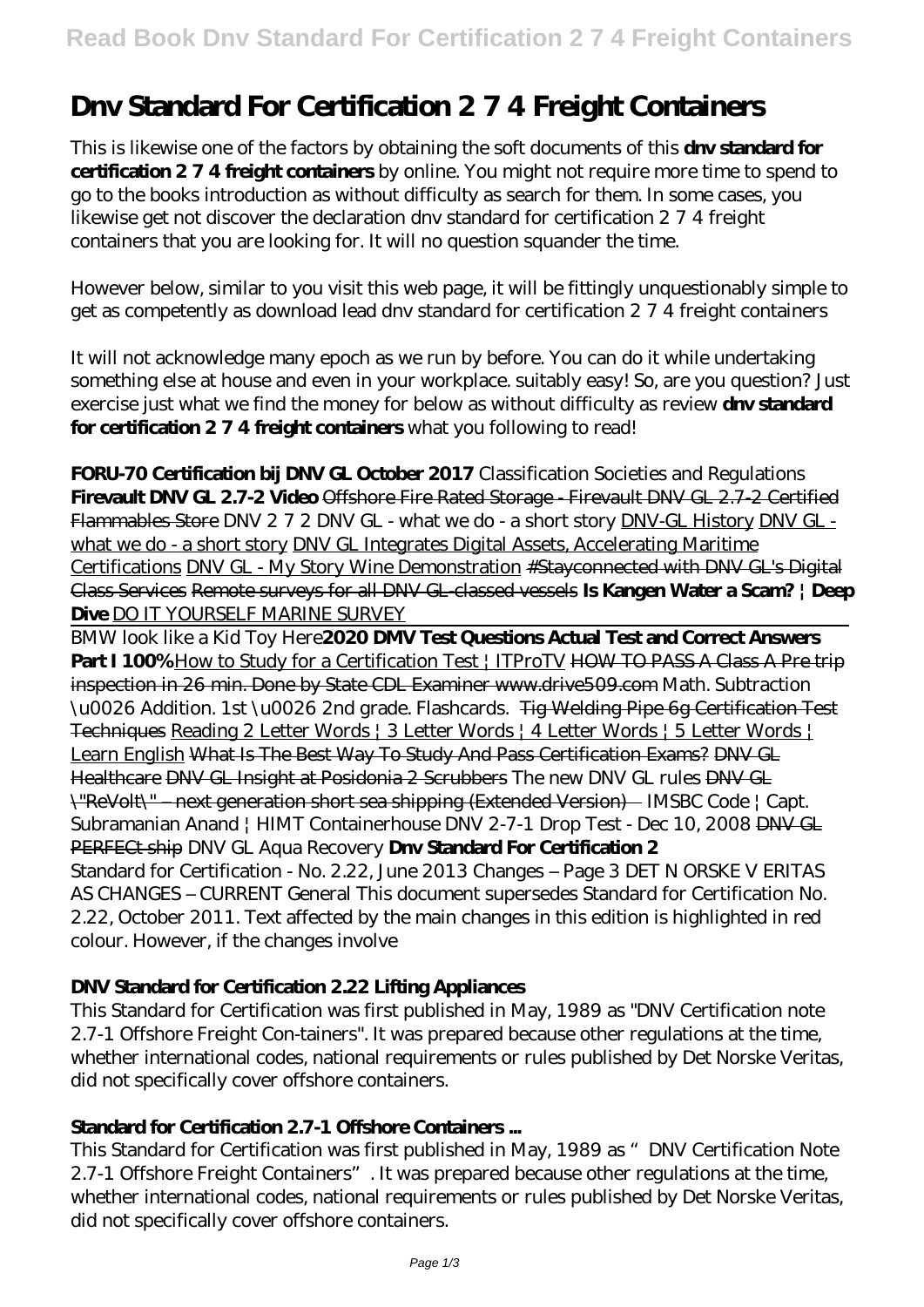# **Dnv Standard For Certification 2 7 4 Freight Containers**

This is likewise one of the factors by obtaining the soft documents of this **drw standard for certification 2 7 4 freight containers** by online. You might not require more time to spend to go to the books introduction as without difficulty as search for them. In some cases, you likewise get not discover the declaration dnv standard for certification 2 7 4 freight containers that you are looking for. It will no question squander the time.

However below, similar to you visit this web page, it will be fittingly unquestionably simple to get as competently as download lead dnv standard for certification 2 7 4 freight containers

It will not acknowledge many epoch as we run by before. You can do it while undertaking something else at house and even in your workplace. suitably easy! So, are you question? Just exercise just what we find the money for below as without difficulty as review **dnv standard for certification 2 7 4 freight containers** what you following to read!

**FORU-70 Certification bij DNV GL October 2017** Classification Societies and Regulations **Firevault DNV GL 2.7-2 Video** Offshore Fire Rated Storage - Firevault DNV GL 2.7-2 Certified Flammables Store DNV 2 7 2 DNV GL - what we do - a short story DNV-GL History DNV GL what we do - a short story DNV GL Integrates Digital Assets, Accelerating Maritime Certifications DNV GL - My Story Wine Demonstration #Stayconnected with DNV GL's Digital Class Services Remote surveys for all DNV GL-classed vessels **Is Kangen Water a Scam? | Deep Dive** DO IT YOURSELF MARINE SURVEY

BMW look like a Kid Toy Here**2020 DMV Test Questions Actual Test and Correct Answers Part I 100%** How to Study for a Certification Test | ITProTV HOW TO PASS A Class A Pre trip inspection in 26 min. Done by State CDL Examiner www.drive509.com *Math. Subtraction \u0026 Addition. 1st \u0026 2nd grade. Flashcards.* Tig Welding Pipe 6g Certification Test Techniques Reading 2 Letter Words | 3 Letter Words | 4 Letter Words | 5 Letter Words | Learn English What Is The Best Way To Study And Pass Certification Exams? DNV GL Healthcare DNV GL Insight at Posidonia 2 Scrubbers *The new DNV GL rules* DNV GL \"ReVolt\" – next generation short sea shipping (Extended Version) IMSBC Code | Capt. Subramanian Anand | HIMT Containerhouse DNV 2-7-1 Drop Test - Dec 10, 2008 DNV GL PERFECt ship *DNV GL Aqua Recovery* **Dnv Standard For Certification 2** Standard for Certification - No. 2.22, June 2013 Changes – Page 3 DET N ORSKE V ERITAS AS CHANGES – CURRENT General This document supersedes Standard for Certification No. 2.22, October 2011. Text affected by the main changes in this edition is highlighted in red colour. However, if the changes involve

## **DNV Standard for Certification 2.22 Lifting Appliances**

This Standard for Certification was first published in May, 1989 as "DNV Certification note 2.7-1 Offshore Freight Con-tainers". It was prepared because other regulations at the time, whether international codes, national requirements or rules published by Det Norske Veritas, did not specifically cover offshore containers.

## **Standard for Certification 2.7-1 Offshore Containers ...**

This Standard for Certification was first published in May, 1989 as "DNV Certification Note 2.7-1 Offshore Freight Containers". It was prepared because other regulations at the time, whether international codes, national requirements or rules published by Det Norske Veritas, did not specifically cover offshore containers.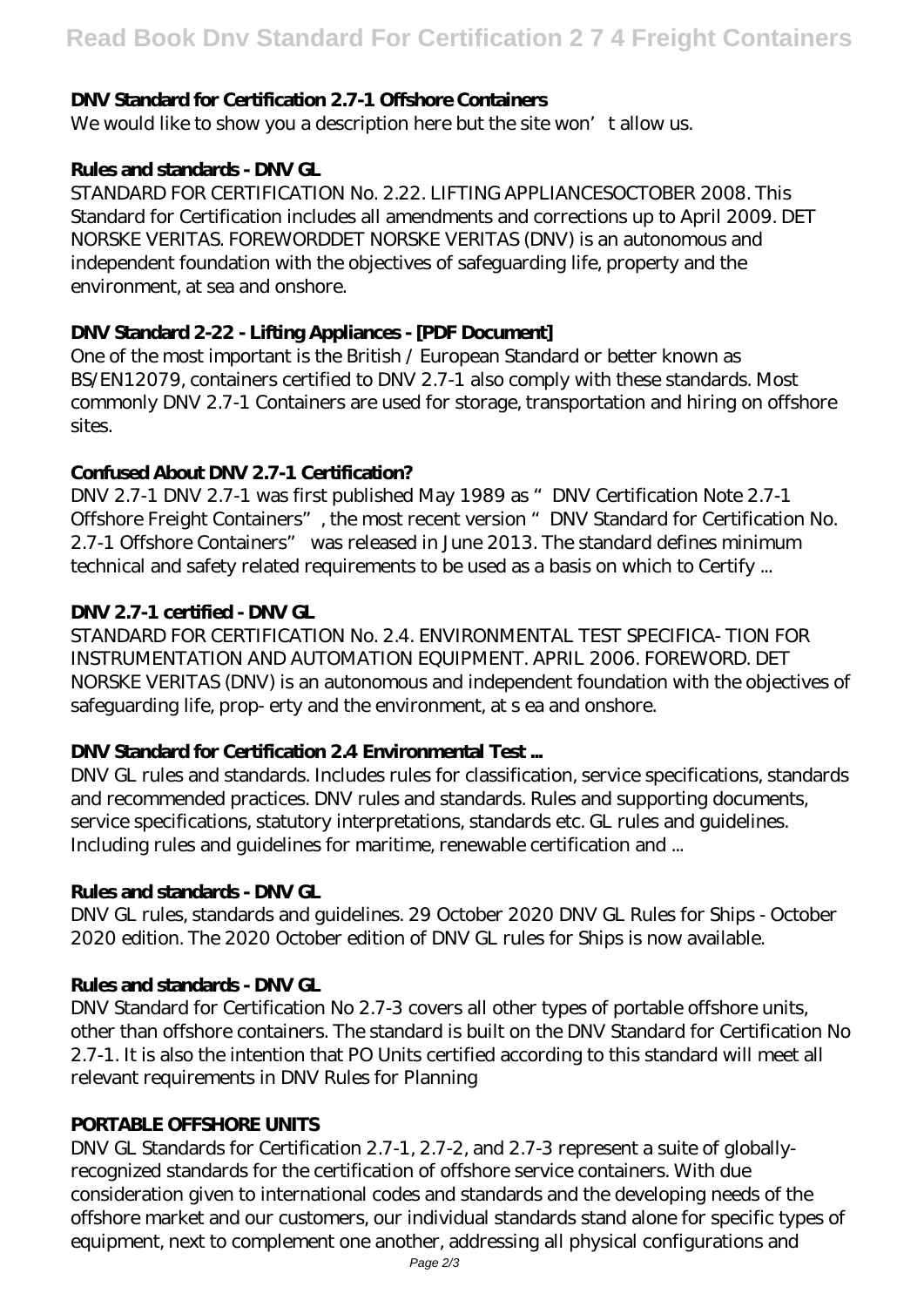# **DNV Standard for Certification 2.7-1 Offshore Containers**

We would like to show you a description here but the site won't allow us.

## **Rules and standards - DNV GL**

STANDARD FOR CERTIFICATION No. 2.22. LIFTING APPLIANCESOCTOBER 2008. This Standard for Certification includes all amendments and corrections up to April 2009. DET NORSKE VERITAS. FOREWORDDET NORSKE VERITAS (DNV) is an autonomous and independent foundation with the objectives of safeguarding life, property and the environment, at sea and onshore.

## **DNV Standard 2-22 - Lifting Appliances - [PDF Document]**

One of the most important is the British / European Standard or better known as BS/EN12079, containers certified to DNV 2.7-1 also comply with these standards. Most commonly DNV 2.7-1 Containers are used for storage, transportation and hiring on offshore sites.

## **Confused About DNV 2.7-1 Certification?**

DNV 2.7-1 DNV 2.7-1 was first published May 1989 as "DNV Certification Note 2.7-1 Offshore Freight Containers", the most recent version "DNV Standard for Certification No. 2.7-1 Offshore Containers" was released in June 2013. The standard defines minimum technical and safety related requirements to be used as a basis on which to Certify ...

# **DNV 2.7-1 certified - DNV GL**

STANDARD FOR CERTIFICATION No. 2.4. ENVIRONMENTAL TEST SPECIFICA- TION FOR INSTRUMENTATION AND AUTOMATION EQUIPMENT. APRIL 2006. FOREWORD. DET NORSKE VERITAS (DNV) is an autonomous and independent foundation with the objectives of safeguarding life, prop- erty and the environment, at s ea and onshore.

## **DNV Standard for Certification 2.4 Environmental Test ...**

DNV GL rules and standards. Includes rules for classification, service specifications, standards and recommended practices. DNV rules and standards. Rules and supporting documents, service specifications, statutory interpretations, standards etc. GL rules and guidelines. Including rules and guidelines for maritime, renewable certification and ...

## **Rules and standards - DNV GL**

DNV GL rules, standards and guidelines. 29 October 2020 DNV GL Rules for Ships - October 2020 edition. The 2020 October edition of DNV GL rules for Ships is now available.

## **Rules and standards - DNV GL**

DNV Standard for Certification No 2.7-3 covers all other types of portable offshore units, other than offshore containers. The standard is built on the DNV Standard for Certification No 2.7-1. It is also the intention that PO Units certified according to this standard will meet all relevant requirements in DNV Rules for Planning

#### **PORTABLE OFFSHORE UNITS**

DNV GL Standards for Certification 2.7-1, 2.7-2, and 2.7-3 represent a suite of globallyrecognized standards for the certification of offshore service containers. With due consideration given to international codes and standards and the developing needs of the offshore market and our customers, our individual standards stand alone for specific types of equipment, next to complement one another, addressing all physical configurations and